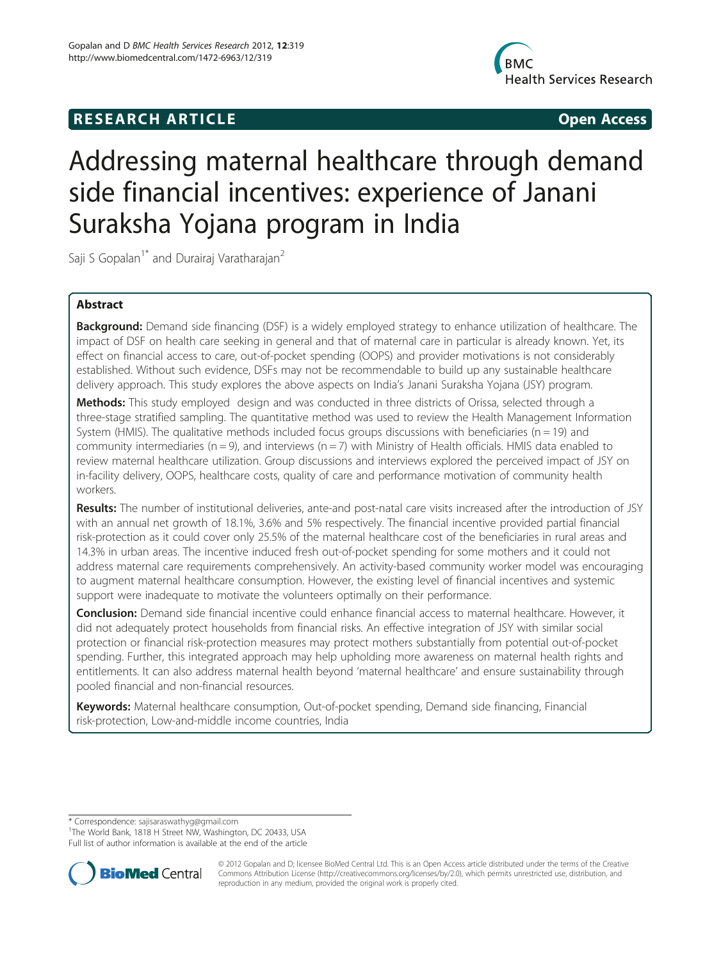## **RESEARCH ARTICLE Example 2014 CONSIDERING CONSIDERING CONSIDERING CONSIDERING CONSIDERING CONSIDERING CONSIDERING CONSIDERING CONSIDERING CONSIDERING CONSIDERING CONSIDERING CONSIDERING CONSIDERING CONSIDERING CONSIDE**



# Addressing maternal healthcare through demand side financial incentives: experience of Janani Suraksha Yojana program in India

Saji S Gopalan<sup>1\*</sup> and Durairaj Varatharajan<sup>2</sup>

## Abstract

Background: Demand side financing (DSF) is a widely employed strategy to enhance utilization of healthcare. The impact of DSF on health care seeking in general and that of maternal care in particular is already known. Yet, its effect on financial access to care, out-of-pocket spending (OOPS) and provider motivations is not considerably established. Without such evidence, DSFs may not be recommendable to build up any sustainable healthcare delivery approach. This study explores the above aspects on India's Janani Suraksha Yojana (JSY) program.

Methods: This study employed design and was conducted in three districts of Orissa, selected through a three-stage stratified sampling. The quantitative method was used to review the Health Management Information System (HMIS). The qualitative methods included focus groups discussions with beneficiaries ( $n = 19$ ) and community intermediaries (n = 9), and interviews (n = 7) with Ministry of Health officials. HMIS data enabled to review maternal healthcare utilization. Group discussions and interviews explored the perceived impact of JSY on in-facility delivery, OOPS, healthcare costs, quality of care and performance motivation of community health workers.

Results: The number of institutional deliveries, ante-and post-natal care visits increased after the introduction of JSY with an annual net growth of 18.1%, 3.6% and 5% respectively. The financial incentive provided partial financial risk-protection as it could cover only 25.5% of the maternal healthcare cost of the beneficiaries in rural areas and 14.3% in urban areas. The incentive induced fresh out-of-pocket spending for some mothers and it could not address maternal care requirements comprehensively. An activity-based community worker model was encouraging to augment maternal healthcare consumption. However, the existing level of financial incentives and systemic support were inadequate to motivate the volunteers optimally on their performance.

Conclusion: Demand side financial incentive could enhance financial access to maternal healthcare. However, it did not adequately protect households from financial risks. An effective integration of JSY with similar social protection or financial risk-protection measures may protect mothers substantially from potential out-of-pocket spending. Further, this integrated approach may help upholding more awareness on maternal health rights and entitlements. It can also address maternal health beyond 'maternal healthcare' and ensure sustainability through pooled financial and non-financial resources.

Keywords: Maternal healthcare consumption, Out-of-pocket spending, Demand side financing, Financial risk-protection, Low-and-middle income countries, India

\* Correspondence: [sajisaraswathyg@gmail.com](mailto:sajisaraswathyg@gmail.com) <sup>1</sup>

<sup>1</sup>The World Bank, 1818 H Street NW, Washington, DC 20433, USA

Full list of author information is available at the end of the article



© 2012 Gopalan and D; licensee BioMed Central Ltd. This is an Open Access article distributed under the terms of the Creative Commons Attribution License [\(http://creativecommons.org/licenses/by/2.0\)](http://creativecommons.org/licenses/by/2.0), which permits unrestricted use, distribution, and reproduction in any medium, provided the original work is properly cited.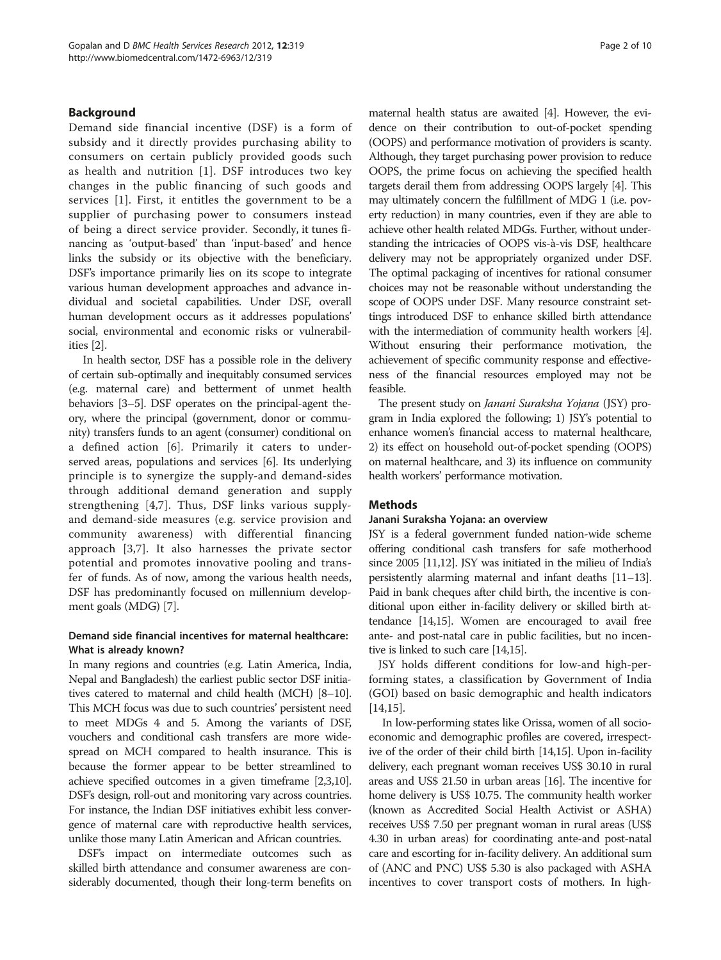## **Background**

Demand side financial incentive (DSF) is a form of subsidy and it directly provides purchasing ability to consumers on certain publicly provided goods such as health and nutrition [[1\]](#page-9-0). DSF introduces two key changes in the public financing of such goods and services [[1\]](#page-9-0). First, it entitles the government to be a supplier of purchasing power to consumers instead of being a direct service provider. Secondly, it tunes financing as 'output-based' than 'input-based' and hence links the subsidy or its objective with the beneficiary. DSF's importance primarily lies on its scope to integrate various human development approaches and advance individual and societal capabilities. Under DSF, overall human development occurs as it addresses populations' social, environmental and economic risks or vulnerabilities [\[2](#page-9-0)].

In health sector, DSF has a possible role in the delivery of certain sub-optimally and inequitably consumed services (e.g. maternal care) and betterment of unmet health behaviors [[3](#page-9-0)–[5\]](#page-9-0). DSF operates on the principal-agent theory, where the principal (government, donor or community) transfers funds to an agent (consumer) conditional on a defined action [\[6](#page-9-0)]. Primarily it caters to underserved areas, populations and services [\[6\]](#page-9-0). Its underlying principle is to synergize the supply-and demand-sides through additional demand generation and supply strengthening [\[4](#page-9-0),[7\]](#page-9-0). Thus, DSF links various supplyand demand-side measures (e.g. service provision and community awareness) with differential financing approach [[3,7](#page-9-0)]. It also harnesses the private sector potential and promotes innovative pooling and transfer of funds. As of now, among the various health needs, DSF has predominantly focused on millennium development goals (MDG) [\[7\]](#page-9-0).

## Demand side financial incentives for maternal healthcare: What is already known?

In many regions and countries (e.g. Latin America, India, Nepal and Bangladesh) the earliest public sector DSF initiatives catered to maternal and child health (MCH) [[8](#page-9-0)–[10](#page-9-0)]. This MCH focus was due to such countries' persistent need to meet MDGs 4 and 5. Among the variants of DSF, vouchers and conditional cash transfers are more widespread on MCH compared to health insurance. This is because the former appear to be better streamlined to achieve specified outcomes in a given timeframe [[2,3,10](#page-9-0)]. DSF's design, roll-out and monitoring vary across countries. For instance, the Indian DSF initiatives exhibit less convergence of maternal care with reproductive health services, unlike those many Latin American and African countries.

DSF's impact on intermediate outcomes such as skilled birth attendance and consumer awareness are considerably documented, though their long-term benefits on

maternal health status are awaited [\[4](#page-9-0)]. However, the evidence on their contribution to out-of-pocket spending (OOPS) and performance motivation of providers is scanty. Although, they target purchasing power provision to reduce OOPS, the prime focus on achieving the specified health targets derail them from addressing OOPS largely [\[4\]](#page-9-0). This may ultimately concern the fulfillment of MDG 1 (i.e. poverty reduction) in many countries, even if they are able to achieve other health related MDGs. Further, without understanding the intricacies of OOPS vis-à-vis DSF, healthcare delivery may not be appropriately organized under DSF. The optimal packaging of incentives for rational consumer choices may not be reasonable without understanding the scope of OOPS under DSF. Many resource constraint settings introduced DSF to enhance skilled birth attendance with the intermediation of community health workers [\[4](#page-9-0)]. Without ensuring their performance motivation, the achievement of specific community response and effectiveness of the financial resources employed may not be feasible.

The present study on Janani Suraksha Yojana (JSY) program in India explored the following; 1) JSY's potential to enhance women's financial access to maternal healthcare, 2) its effect on household out-of-pocket spending (OOPS) on maternal healthcare, and 3) its influence on community health workers' performance motivation.

## Methods

#### Janani Suraksha Yojana: an overview

JSY is a federal government funded nation-wide scheme offering conditional cash transfers for safe motherhood since 2005 [\[11,12](#page-9-0)]. JSY was initiated in the milieu of India's persistently alarming maternal and infant deaths [[11](#page-9-0)–[13](#page-9-0)]. Paid in bank cheques after child birth, the incentive is conditional upon either in-facility delivery or skilled birth attendance [\[14,15\]](#page-9-0). Women are encouraged to avail free ante- and post-natal care in public facilities, but no incentive is linked to such care [\[14,15](#page-9-0)].

JSY holds different conditions for low-and high-performing states, a classification by Government of India (GOI) based on basic demographic and health indicators [[14,15\]](#page-9-0).

In low-performing states like Orissa, women of all socioeconomic and demographic profiles are covered, irrespective of the order of their child birth [\[14,15\]](#page-9-0). Upon in-facility delivery, each pregnant woman receives US\$ 30.10 in rural areas and US\$ 21.50 in urban areas [\[16\]](#page-9-0). The incentive for home delivery is US\$ 10.75. The community health worker (known as Accredited Social Health Activist or ASHA) receives US\$ 7.50 per pregnant woman in rural areas (US\$ 4.30 in urban areas) for coordinating ante-and post-natal care and escorting for in-facility delivery. An additional sum of (ANC and PNC) US\$ 5.30 is also packaged with ASHA incentives to cover transport costs of mothers. In high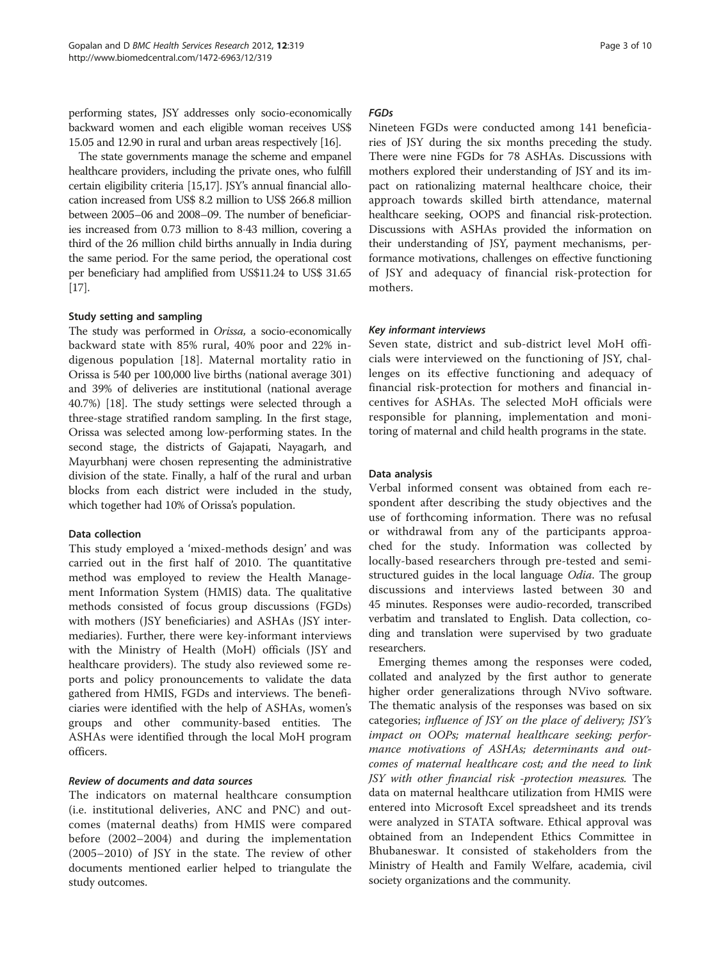performing states, JSY addresses only socio-economically backward women and each eligible woman receives US\$ 15.05 and 12.90 in rural and urban areas respectively [16].

The state governments manage the scheme and empanel healthcare providers, including the private ones, who fulfill certain eligibility criteria [[15,17\]](#page-9-0). JSY's annual financial allocation increased from US\$ 8.2 million to US\$ 266.8 million between 2005–06 and 2008–09. The number of beneficiaries increased from 0.73 million to 843 million, covering a third of the 26 million child births annually in India during the same period. For the same period, the operational cost per beneficiary had amplified from US\$11.24 to US\$ 31.65 [[17](#page-9-0)].

## Study setting and sampling

The study was performed in Orissa, a socio-economically backward state with 85% rural, 40% poor and 22% indigenous population [[18\]](#page-9-0). Maternal mortality ratio in Orissa is 540 per 100,000 live births (national average 301) and 39% of deliveries are institutional (national average 40.7%) [\[18](#page-9-0)]. The study settings were selected through a three-stage stratified random sampling. In the first stage, Orissa was selected among low-performing states. In the second stage, the districts of Gajapati, Nayagarh, and Mayurbhanj were chosen representing the administrative division of the state. Finally, a half of the rural and urban blocks from each district were included in the study, which together had 10% of Orissa's population.

#### Data collection

This study employed a 'mixed-methods design' and was carried out in the first half of 2010. The quantitative method was employed to review the Health Management Information System (HMIS) data. The qualitative methods consisted of focus group discussions (FGDs) with mothers (JSY beneficiaries) and ASHAs (JSY intermediaries). Further, there were key-informant interviews with the Ministry of Health (MoH) officials (JSY and healthcare providers). The study also reviewed some reports and policy pronouncements to validate the data gathered from HMIS, FGDs and interviews. The beneficiaries were identified with the help of ASHAs, women's groups and other community-based entities. The ASHAs were identified through the local MoH program officers.

## Review of documents and data sources

The indicators on maternal healthcare consumption (i.e. institutional deliveries, ANC and PNC) and outcomes (maternal deaths) from HMIS were compared before (2002–2004) and during the implementation (2005–2010) of JSY in the state. The review of other documents mentioned earlier helped to triangulate the study outcomes.

#### FGDs

Nineteen FGDs were conducted among 141 beneficiaries of JSY during the six months preceding the study. There were nine FGDs for 78 ASHAs. Discussions with mothers explored their understanding of JSY and its impact on rationalizing maternal healthcare choice, their approach towards skilled birth attendance, maternal healthcare seeking, OOPS and financial risk-protection. Discussions with ASHAs provided the information on their understanding of JSY, payment mechanisms, performance motivations, challenges on effective functioning of JSY and adequacy of financial risk-protection for mothers.

## Key informant interviews

Seven state, district and sub-district level MoH officials were interviewed on the functioning of JSY, challenges on its effective functioning and adequacy of financial risk-protection for mothers and financial incentives for ASHAs. The selected MoH officials were responsible for planning, implementation and monitoring of maternal and child health programs in the state.

#### Data analysis

Verbal informed consent was obtained from each respondent after describing the study objectives and the use of forthcoming information. There was no refusal or withdrawal from any of the participants approached for the study. Information was collected by locally-based researchers through pre-tested and semistructured guides in the local language *Odia*. The group discussions and interviews lasted between 30 and 45 minutes. Responses were audio-recorded, transcribed verbatim and translated to English. Data collection, coding and translation were supervised by two graduate researchers.

Emerging themes among the responses were coded, collated and analyzed by the first author to generate higher order generalizations through NVivo software. The thematic analysis of the responses was based on six categories; influence of JSY on the place of delivery; JSY's impact on OOPs; maternal healthcare seeking; performance motivations of ASHAs; determinants and outcomes of maternal healthcare cost; and the need to link JSY with other financial risk -protection measures. The data on maternal healthcare utilization from HMIS were entered into Microsoft Excel spreadsheet and its trends were analyzed in STATA software. Ethical approval was obtained from an Independent Ethics Committee in Bhubaneswar. It consisted of stakeholders from the Ministry of Health and Family Welfare, academia, civil society organizations and the community.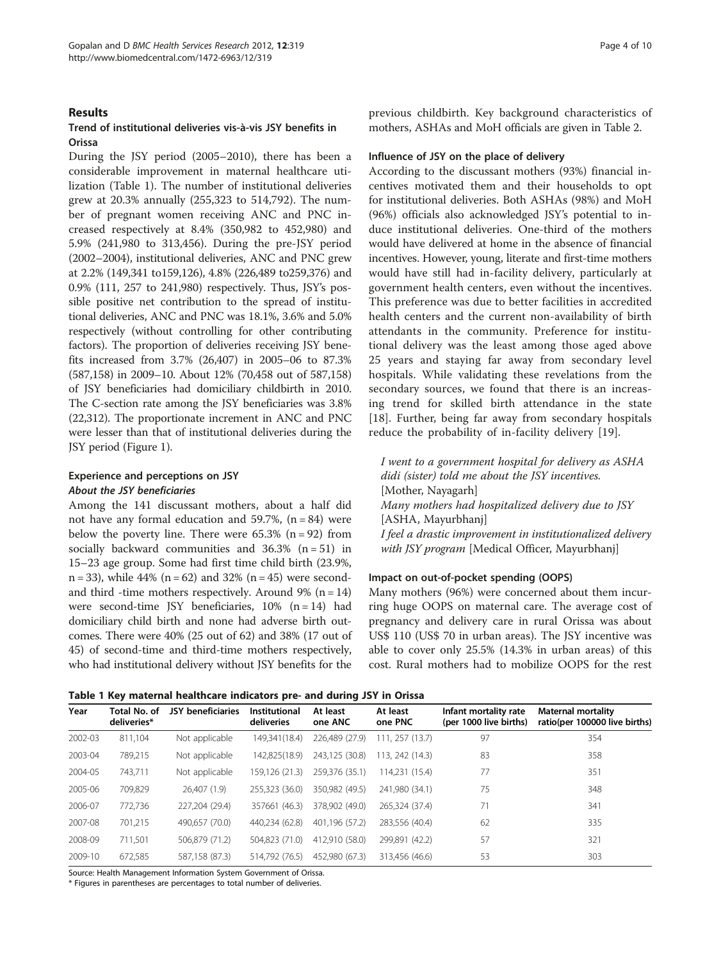#### Results

## Trend of institutional deliveries vis-à-vis JSY benefits in **Orissa**

During the JSY period (2005–2010), there has been a considerable improvement in maternal healthcare utilization (Table 1). The number of institutional deliveries grew at 20.3% annually (255,323 to 514,792). The number of pregnant women receiving ANC and PNC increased respectively at 8.4% (350,982 to 452,980) and 5.9% (241,980 to 313,456). During the pre-JSY period (2002–2004), institutional deliveries, ANC and PNC grew at 2.2% (149,341 to159,126), 4.8% (226,489 to259,376) and 0.9% (111, 257 to 241,980) respectively. Thus, JSY's possible positive net contribution to the spread of institutional deliveries, ANC and PNC was 18.1%, 3.6% and 5.0% respectively (without controlling for other contributing factors). The proportion of deliveries receiving JSY benefits increased from 3.7% (26,407) in 2005–06 to 87.3% (587,158) in 2009–10. About 12% (70,458 out of 587,158) of JSY beneficiaries had domiciliary childbirth in 2010. The C-section rate among the JSY beneficiaries was 3.8% (22,312). The proportionate increment in ANC and PNC were lesser than that of institutional deliveries during the JSY period (Figure [1](#page-4-0)).

## Experience and perceptions on JSY About the JSY beneficiaries

Among the 141 discussant mothers, about a half did not have any formal education and  $59.7\%$ ,  $(n = 84)$  were below the poverty line. There were  $65.3\%$  (n = 92) from socially backward communities and  $36.3\%$  (n = 51) in 15–23 age group. Some had first time child birth (23.9%,  $n = 33$ , while 44% ( $n = 62$ ) and 32% ( $n = 45$ ) were secondand third -time mothers respectively. Around 9%  $(n = 14)$ were second-time JSY beneficiaries,  $10\%$  (n = 14) had domiciliary child birth and none had adverse birth outcomes. There were 40% (25 out of 62) and 38% (17 out of 45) of second-time and third-time mothers respectively, who had institutional delivery without JSY benefits for the previous childbirth. Key background characteristics of mothers, ASHAs and MoH officials are given in Table [2](#page-4-0).

#### Influence of JSY on the place of delivery

According to the discussant mothers (93%) financial incentives motivated them and their households to opt for institutional deliveries. Both ASHAs (98%) and MoH (96%) officials also acknowledged JSY's potential to induce institutional deliveries. One-third of the mothers would have delivered at home in the absence of financial incentives. However, young, literate and first-time mothers would have still had in-facility delivery, particularly at government health centers, even without the incentives. This preference was due to better facilities in accredited health centers and the current non-availability of birth attendants in the community. Preference for institutional delivery was the least among those aged above 25 years and staying far away from secondary level hospitals. While validating these revelations from the secondary sources, we found that there is an increasing trend for skilled birth attendance in the state [[18\]](#page-9-0). Further, being far away from secondary hospitals reduce the probability of in-facility delivery [\[19](#page-9-0)].

I went to a government hospital for delivery as ASHA didi (sister) told me about the JSY incentives. [Mother, Nayagarh] Many mothers had hospitalized delivery due to JSY [ASHA, Mayurbhanj] I feel a drastic improvement in institutionalized delivery with JSY program [Medical Officer, Mayurbhanj]

#### Impact on out-of-pocket spending (OOPS)

Many mothers (96%) were concerned about them incurring huge OOPS on maternal care. The average cost of pregnancy and delivery care in rural Orissa was about US\$ 110 (US\$ 70 in urban areas). The JSY incentive was able to cover only 25.5% (14.3% in urban areas) of this cost. Rural mothers had to mobilize OOPS for the rest

|  |  |  | Table 1 Key maternal healthcare indicators pre- and during JSY in Orissa |  |  |
|--|--|--|--------------------------------------------------------------------------|--|--|
|--|--|--|--------------------------------------------------------------------------|--|--|

| Year    | Total No. of<br>deliveries* | <b>JSY</b> beneficiaries | Institutional<br>deliveries | At least<br>one ANC | At least<br>one PNC | Infant mortality rate<br>(per 1000 live births) | <b>Maternal mortality</b><br>ratio(per 100000 live births) |
|---------|-----------------------------|--------------------------|-----------------------------|---------------------|---------------------|-------------------------------------------------|------------------------------------------------------------|
| 2002-03 | 811.104                     | Not applicable           | 149,341(18.4)               | 226.489 (27.9)      | 111.257(13.7)       | 97                                              | 354                                                        |
| 2003-04 | 789,215                     | Not applicable           | 142.825(18.9)               | 243,125 (30.8)      | 113, 242 (14.3)     | 83                                              | 358                                                        |
| 2004-05 | 743.711                     | Not applicable           | 159.126 (21.3)              | 259.376 (35.1)      | 114.231 (15.4)      | 77                                              | 351                                                        |
| 2005-06 | 709,829                     | 26.407 (1.9)             | 255.323 (36.0)              | 350.982 (49.5)      | 241.980 (34.1)      | 75                                              | 348                                                        |
| 2006-07 | 772,736                     | 227.204 (29.4)           | 357661 (46.3)               | 378.902 (49.0)      | 265.324 (37.4)      | 71                                              | 341                                                        |
| 2007-08 | 701,215                     | 490.657 (70.0)           | 440.234 (62.8)              | 401,196 (57.2)      | 283.556 (40.4)      | 62                                              | 335                                                        |
| 2008-09 | 711,501                     | 506.879 (71.2)           | 504.823 (71.0)              | 412.910 (58.0)      | 299.891 (42.2)      | 57                                              | 321                                                        |
| 2009-10 | 672,585                     | 587.158 (87.3)           | 514.792 (76.5)              | 452,980 (67.3)      | 313.456 (46.6)      | 53                                              | 303                                                        |

Source: Health Management Information System Government of Orissa.

\* Figures in parentheses are percentages to total number of deliveries.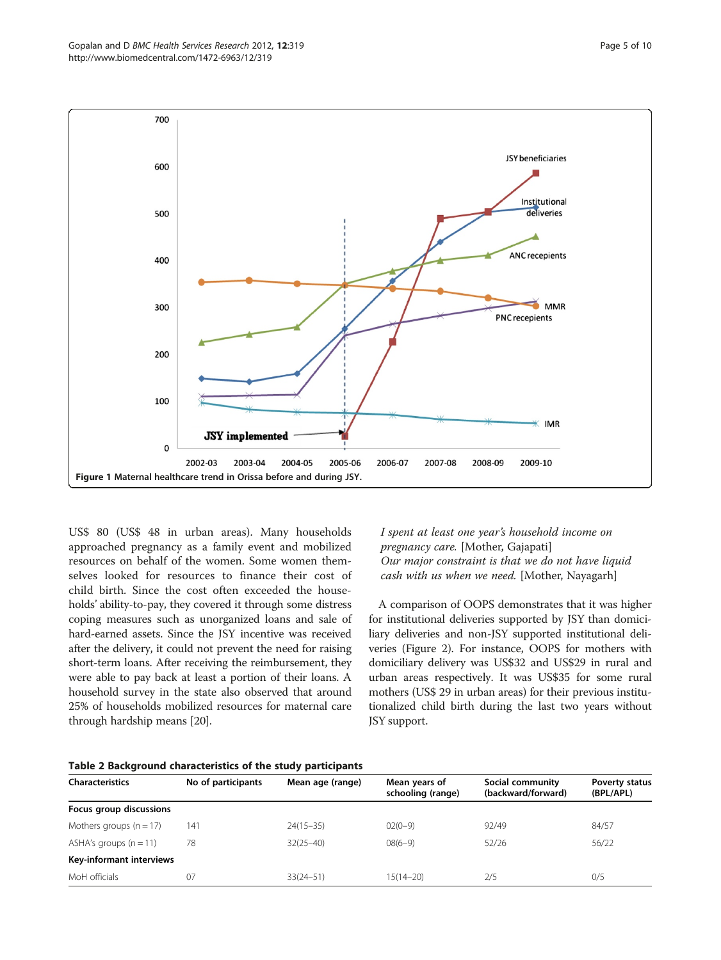<span id="page-4-0"></span>

US\$ 80 (US\$ 48 in urban areas). Many households approached pregnancy as a family event and mobilized resources on behalf of the women. Some women themselves looked for resources to finance their cost of child birth. Since the cost often exceeded the households' ability-to-pay, they covered it through some distress coping measures such as unorganized loans and sale of hard-earned assets. Since the JSY incentive was received after the delivery, it could not prevent the need for raising short-term loans. After receiving the reimbursement, they were able to pay back at least a portion of their loans. A household survey in the state also observed that around 25% of households mobilized resources for maternal care through hardship means [\[20\]](#page-9-0).

## I spent at least one year's household income on pregnancy care. [Mother, Gajapati] Our major constraint is that we do not have liquid cash with us when we need. [Mother, Nayagarh]

A comparison of OOPS demonstrates that it was higher for institutional deliveries supported by JSY than domiciliary deliveries and non-JSY supported institutional deliveries (Figure [2\)](#page-5-0). For instance, OOPS for mothers with domiciliary delivery was US\$32 and US\$29 in rural and urban areas respectively. It was US\$35 for some rural mothers (US\$ 29 in urban areas) for their previous institutionalized child birth during the last two years without JSY support.

### Table 2 Background characteristics of the study participants

| <b>Characteristics</b>    | No of participants | Mean age (range) | Mean years of<br>schooling (range) | Social community<br>(backward/forward) | <b>Poverty status</b><br>(BPL/APL) |
|---------------------------|--------------------|------------------|------------------------------------|----------------------------------------|------------------------------------|
| Focus group discussions   |                    |                  |                                    |                                        |                                    |
| Mothers groups $(n = 17)$ | 141                | $24(15-35)$      | $02(0-9)$                          | 92/49                                  | 84/57                              |
| ASHA's groups $(n = 11)$  | 78                 | $32(25 - 40)$    | $08(6-9)$                          | 52/26                                  | 56/22                              |
| Key-informant interviews  |                    |                  |                                    |                                        |                                    |
| MoH officials             | 07                 | $33(24 - 51)$    | $15(14-20)$                        | 2/5                                    | 0/5                                |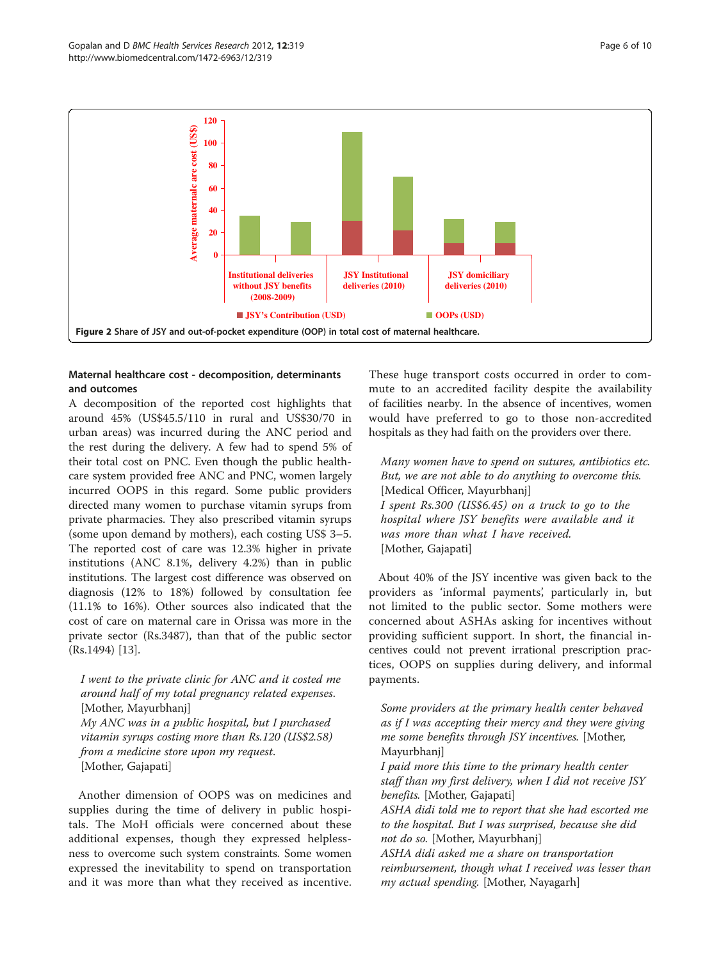<span id="page-5-0"></span>

## Maternal healthcare cost - decomposition, determinants and outcomes

A decomposition of the reported cost highlights that around 45% (US\$45.5/110 in rural and US\$30/70 in urban areas) was incurred during the ANC period and the rest during the delivery. A few had to spend 5% of their total cost on PNC. Even though the public healthcare system provided free ANC and PNC, women largely incurred OOPS in this regard. Some public providers directed many women to purchase vitamin syrups from private pharmacies. They also prescribed vitamin syrups (some upon demand by mothers), each costing US\$ 3–5. The reported cost of care was 12.3% higher in private institutions (ANC 8.1%, delivery 4.2%) than in public institutions. The largest cost difference was observed on diagnosis (12% to 18%) followed by consultation fee (11.1% to 16%). Other sources also indicated that the cost of care on maternal care in Orissa was more in the private sector (Rs.3487), than that of the public sector (Rs.1494) [[13\]](#page-9-0).

I went to the private clinic for ANC and it costed me around half of my total pregnancy related expenses. [Mother, Mayurbhanj] My ANC was in a public hospital, but I purchased vitamin syrups costing more than Rs.120 (US\$2.58) from a medicine store upon my request. [Mother, Gajapati]

Another dimension of OOPS was on medicines and supplies during the time of delivery in public hospitals. The MoH officials were concerned about these additional expenses, though they expressed helplessness to overcome such system constraints. Some women expressed the inevitability to spend on transportation and it was more than what they received as incentive. These huge transport costs occurred in order to commute to an accredited facility despite the availability of facilities nearby. In the absence of incentives, women would have preferred to go to those non-accredited hospitals as they had faith on the providers over there.

Many women have to spend on sutures, antibiotics etc. But, we are not able to do anything to overcome this. [Medical Officer, Mayurbhanj] I spent Rs.300 (US\$6.45) on a truck to go to the hospital where JSY benefits were available and it was more than what I have received. [Mother, Gajapati]

About 40% of the JSY incentive was given back to the providers as 'informal payments', particularly in, but not limited to the public sector. Some mothers were concerned about ASHAs asking for incentives without providing sufficient support. In short, the financial incentives could not prevent irrational prescription practices, OOPS on supplies during delivery, and informal payments.

Some providers at the primary health center behaved as if I was accepting their mercy and they were giving me some benefits through JSY incentives. [Mother, Mayurbhanj] I paid more this time to the primary health center staff than my first delivery, when I did not receive JSY benefits. [Mother, Gajapati] ASHA didi told me to report that she had escorted me to the hospital. But I was surprised, because she did not do so. [Mother, Mayurbhanj] ASHA didi asked me a share on transportation reimbursement, though what I received was lesser than my actual spending. [Mother, Nayagarh]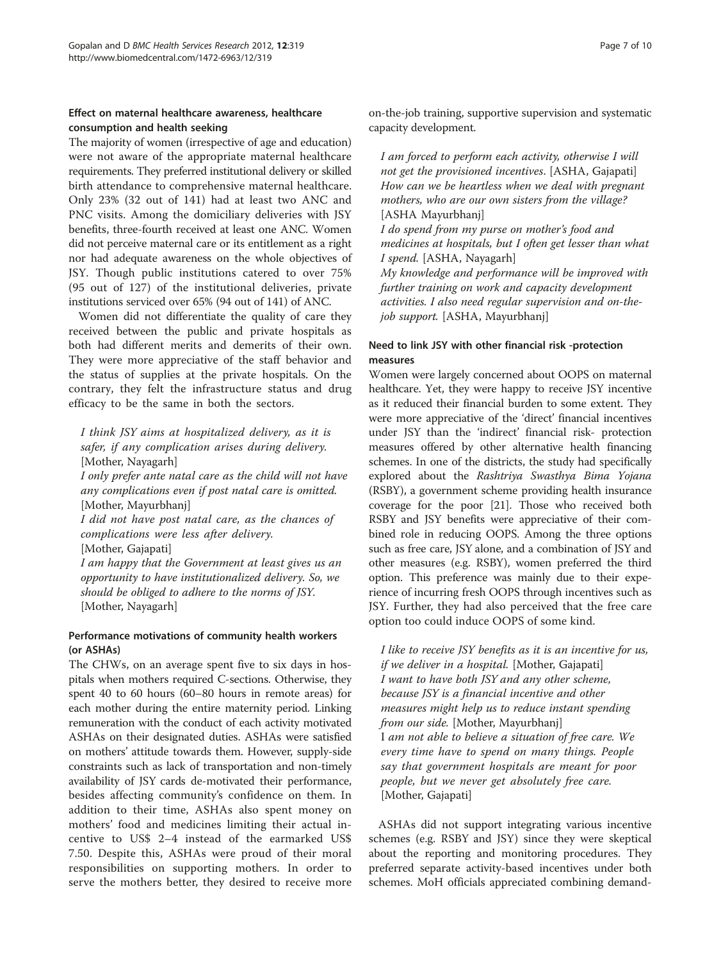## Effect on maternal healthcare awareness, healthcare consumption and health seeking

The majority of women (irrespective of age and education) were not aware of the appropriate maternal healthcare requirements. They preferred institutional delivery or skilled birth attendance to comprehensive maternal healthcare. Only 23% (32 out of 141) had at least two ANC and PNC visits. Among the domiciliary deliveries with JSY benefits, three-fourth received at least one ANC. Women did not perceive maternal care or its entitlement as a right nor had adequate awareness on the whole objectives of JSY. Though public institutions catered to over 75% (95 out of 127) of the institutional deliveries, private institutions serviced over 65% (94 out of 141) of ANC.

Women did not differentiate the quality of care they received between the public and private hospitals as both had different merits and demerits of their own. They were more appreciative of the staff behavior and the status of supplies at the private hospitals. On the contrary, they felt the infrastructure status and drug efficacy to be the same in both the sectors.

I think JSY aims at hospitalized delivery, as it is safer, if any complication arises during delivery. [Mother, Nayagarh] I only prefer ante natal care as the child will not have any complications even if post natal care is omitted. [Mother, Mayurbhanj] I did not have post natal care, as the chances of

complications were less after delivery.

[Mother, Gajapati]

I am happy that the Government at least gives us an opportunity to have institutionalized delivery. So, we should be obliged to adhere to the norms of JSY. [Mother, Nayagarh]

## Performance motivations of community health workers (or ASHAs)

The CHWs, on an average spent five to six days in hospitals when mothers required C-sections. Otherwise, they spent 40 to 60 hours (60–80 hours in remote areas) for each mother during the entire maternity period. Linking remuneration with the conduct of each activity motivated ASHAs on their designated duties. ASHAs were satisfied on mothers' attitude towards them. However, supply-side constraints such as lack of transportation and non-timely availability of JSY cards de-motivated their performance, besides affecting community's confidence on them. In addition to their time, ASHAs also spent money on mothers' food and medicines limiting their actual incentive to US\$ 2–4 instead of the earmarked US\$ 7.50. Despite this, ASHAs were proud of their moral responsibilities on supporting mothers. In order to serve the mothers better, they desired to receive more on-the-job training, supportive supervision and systematic capacity development.

I am forced to perform each activity, otherwise I will not get the provisioned incentives. [ASHA, Gajapati] How can we be heartless when we deal with pregnant mothers, who are our own sisters from the village? [ASHA Mayurbhanj]

I do spend from my purse on mother's food and medicines at hospitals, but I often get lesser than what I spend. [ASHA, Nayagarh]

My knowledge and performance will be improved with further training on work and capacity development activities. I also need regular supervision and on-thejob support. [ASHA, Mayurbhanj]

## Need to link JSY with other financial risk -protection measures

Women were largely concerned about OOPS on maternal healthcare. Yet, they were happy to receive JSY incentive as it reduced their financial burden to some extent. They were more appreciative of the 'direct' financial incentives under JSY than the 'indirect' financial risk- protection measures offered by other alternative health financing schemes. In one of the districts, the study had specifically explored about the Rashtriya Swasthya Bima Yojana (RSBY), a government scheme providing health insurance coverage for the poor [\[21\]](#page-9-0). Those who received both RSBY and JSY benefits were appreciative of their combined role in reducing OOPS. Among the three options such as free care, JSY alone, and a combination of JSY and other measures (e.g. RSBY), women preferred the third option. This preference was mainly due to their experience of incurring fresh OOPS through incentives such as JSY. Further, they had also perceived that the free care option too could induce OOPS of some kind.

I like to receive JSY benefits as it is an incentive for us, if we deliver in a hospital. [Mother, Gajapati] I want to have both JSY and any other scheme, because JSY is a financial incentive and other measures might help us to reduce instant spending from our side. [Mother, Mayurbhanj] I am not able to believe a situation of free care. We every time have to spend on many things. People say that government hospitals are meant for poor people, but we never get absolutely free care. [Mother, Gajapati]

ASHAs did not support integrating various incentive schemes (e.g. RSBY and JSY) since they were skeptical about the reporting and monitoring procedures. They preferred separate activity-based incentives under both schemes. MoH officials appreciated combining demand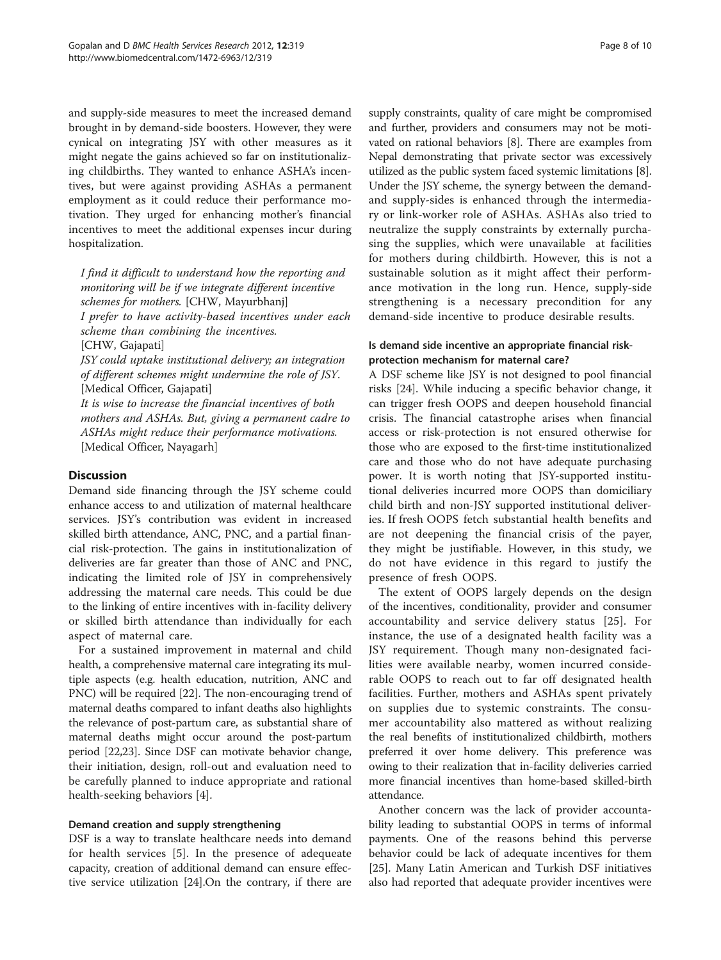and supply-side measures to meet the increased demand brought in by demand-side boosters. However, they were cynical on integrating JSY with other measures as it might negate the gains achieved so far on institutionalizing childbirths. They wanted to enhance ASHA's incentives, but were against providing ASHAs a permanent employment as it could reduce their performance motivation. They urged for enhancing mother's financial incentives to meet the additional expenses incur during hospitalization.

I find it difficult to understand how the reporting and monitoring will be if we integrate different incentive schemes for mothers. [CHW, Mayurbhanj] I prefer to have activity-based incentives under each scheme than combining the incentives.

[CHW, Gajapati]

JSY could uptake institutional delivery; an integration of different schemes might undermine the role of JSY. [Medical Officer, Gajapati]

It is wise to increase the financial incentives of both mothers and ASHAs. But, giving a permanent cadre to ASHAs might reduce their performance motivations. [Medical Officer, Nayagarh]

## **Discussion**

Demand side financing through the JSY scheme could enhance access to and utilization of maternal healthcare services. JSY's contribution was evident in increased skilled birth attendance, ANC, PNC, and a partial financial risk-protection. The gains in institutionalization of deliveries are far greater than those of ANC and PNC, indicating the limited role of JSY in comprehensively addressing the maternal care needs. This could be due to the linking of entire incentives with in-facility delivery or skilled birth attendance than individually for each aspect of maternal care.

For a sustained improvement in maternal and child health, a comprehensive maternal care integrating its multiple aspects (e.g. health education, nutrition, ANC and PNC) will be required [\[22\]](#page-9-0). The non-encouraging trend of maternal deaths compared to infant deaths also highlights the relevance of post-partum care, as substantial share of maternal deaths might occur around the post-partum period [\[22,23\]](#page-9-0). Since DSF can motivate behavior change, their initiation, design, roll-out and evaluation need to be carefully planned to induce appropriate and rational health-seeking behaviors [[4\]](#page-9-0).

## Demand creation and supply strengthening

DSF is a way to translate healthcare needs into demand for health services [[5\]](#page-9-0). In the presence of adequeate capacity, creation of additional demand can ensure effective service utilization [[24](#page-9-0)].On the contrary, if there are

supply constraints, quality of care might be compromised and further, providers and consumers may not be motivated on rational behaviors [\[8\]](#page-9-0). There are examples from Nepal demonstrating that private sector was excessively utilized as the public system faced systemic limitations [[8](#page-9-0)]. Under the JSY scheme, the synergy between the demandand supply-sides is enhanced through the intermediary or link-worker role of ASHAs. ASHAs also tried to neutralize the supply constraints by externally purchasing the supplies, which were unavailable at facilities for mothers during childbirth. However, this is not a sustainable solution as it might affect their performance motivation in the long run. Hence, supply-side strengthening is a necessary precondition for any demand-side incentive to produce desirable results.

## Is demand side incentive an appropriate financial riskprotection mechanism for maternal care?

A DSF scheme like JSY is not designed to pool financial risks [\[24](#page-9-0)]. While inducing a specific behavior change, it can trigger fresh OOPS and deepen household financial crisis. The financial catastrophe arises when financial access or risk-protection is not ensured otherwise for those who are exposed to the first-time institutionalized care and those who do not have adequate purchasing power. It is worth noting that JSY-supported institutional deliveries incurred more OOPS than domiciliary child birth and non-JSY supported institutional deliveries. If fresh OOPS fetch substantial health benefits and are not deepening the financial crisis of the payer, they might be justifiable. However, in this study, we do not have evidence in this regard to justify the presence of fresh OOPS.

The extent of OOPS largely depends on the design of the incentives, conditionality, provider and consumer accountability and service delivery status [[25](#page-9-0)]. For instance, the use of a designated health facility was a JSY requirement. Though many non-designated facilities were available nearby, women incurred considerable OOPS to reach out to far off designated health facilities. Further, mothers and ASHAs spent privately on supplies due to systemic constraints. The consumer accountability also mattered as without realizing the real benefits of institutionalized childbirth, mothers preferred it over home delivery. This preference was owing to their realization that in-facility deliveries carried more financial incentives than home-based skilled-birth attendance.

Another concern was the lack of provider accountability leading to substantial OOPS in terms of informal payments. One of the reasons behind this perverse behavior could be lack of adequate incentives for them [[25\]](#page-9-0). Many Latin American and Turkish DSF initiatives also had reported that adequate provider incentives were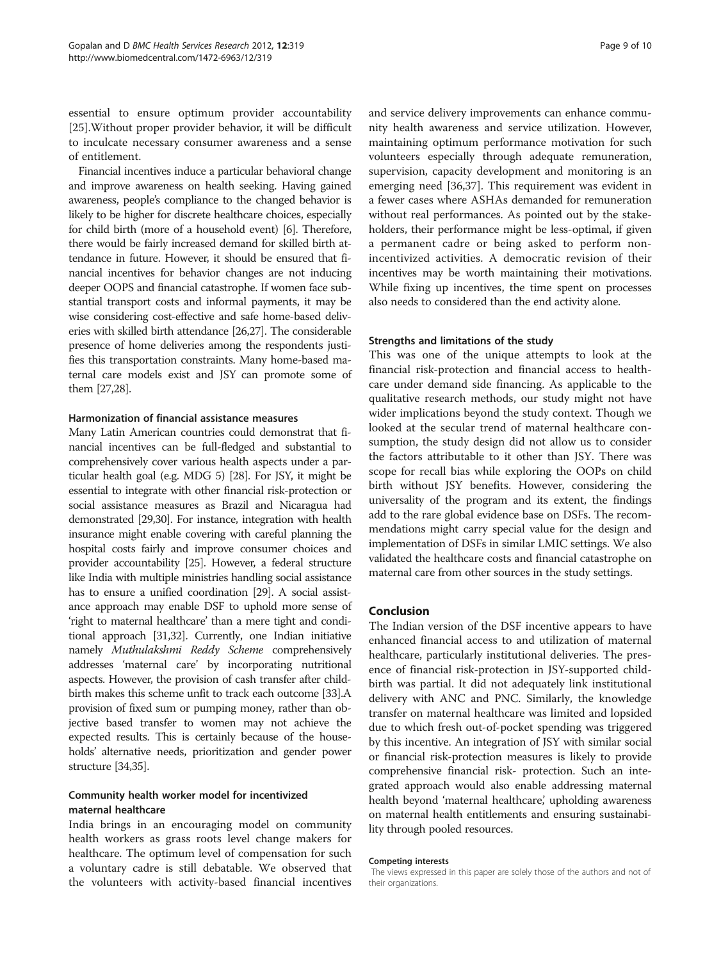essential to ensure optimum provider accountability [[25\]](#page-9-0).Without proper provider behavior, it will be difficult to inculcate necessary consumer awareness and a sense of entitlement.

Financial incentives induce a particular behavioral change and improve awareness on health seeking. Having gained awareness, people's compliance to the changed behavior is likely to be higher for discrete healthcare choices, especially for child birth (more of a household event) [[6](#page-9-0)]. Therefore, there would be fairly increased demand for skilled birth attendance in future. However, it should be ensured that financial incentives for behavior changes are not inducing deeper OOPS and financial catastrophe. If women face substantial transport costs and informal payments, it may be wise considering cost-effective and safe home-based deliveries with skilled birth attendance [[26,27](#page-9-0)]. The considerable presence of home deliveries among the respondents justifies this transportation constraints. Many home-based maternal care models exist and JSY can promote some of them [[27,28](#page-9-0)].

#### Harmonization of financial assistance measures

Many Latin American countries could demonstrat that financial incentives can be full-fledged and substantial to comprehensively cover various health aspects under a particular health goal (e.g. MDG 5) [\[28\]](#page-9-0). For JSY, it might be essential to integrate with other financial risk-protection or social assistance measures as Brazil and Nicaragua had demonstrated [\[29,30\]](#page-9-0). For instance, integration with health insurance might enable covering with careful planning the hospital costs fairly and improve consumer choices and provider accountability [[25](#page-9-0)]. However, a federal structure like India with multiple ministries handling social assistance has to ensure a unified coordination [[29](#page-9-0)]. A social assistance approach may enable DSF to uphold more sense of 'right to maternal healthcare' than a mere tight and conditional approach [\[31,32](#page-9-0)]. Currently, one Indian initiative namely Muthulakshmi Reddy Scheme comprehensively addresses 'maternal care' by incorporating nutritional aspects. However, the provision of cash transfer after childbirth makes this scheme unfit to track each outcome [\[33\]](#page-9-0).A provision of fixed sum or pumping money, rather than objective based transfer to women may not achieve the expected results. This is certainly because of the households' alternative needs, prioritization and gender power structure [[34,35](#page-9-0)].

## Community health worker model for incentivized maternal healthcare

India brings in an encouraging model on community health workers as grass roots level change makers for healthcare. The optimum level of compensation for such a voluntary cadre is still debatable. We observed that the volunteers with activity-based financial incentives

and service delivery improvements can enhance community health awareness and service utilization. However, maintaining optimum performance motivation for such volunteers especially through adequate remuneration, supervision, capacity development and monitoring is an emerging need [\[36,37](#page-9-0)]. This requirement was evident in a fewer cases where ASHAs demanded for remuneration without real performances. As pointed out by the stakeholders, their performance might be less-optimal, if given a permanent cadre or being asked to perform nonincentivized activities. A democratic revision of their incentives may be worth maintaining their motivations. While fixing up incentives, the time spent on processes also needs to considered than the end activity alone.

#### Strengths and limitations of the study

This was one of the unique attempts to look at the financial risk-protection and financial access to healthcare under demand side financing. As applicable to the qualitative research methods, our study might not have wider implications beyond the study context. Though we looked at the secular trend of maternal healthcare consumption, the study design did not allow us to consider the factors attributable to it other than JSY. There was scope for recall bias while exploring the OOPs on child birth without JSY benefits. However, considering the universality of the program and its extent, the findings add to the rare global evidence base on DSFs. The recommendations might carry special value for the design and implementation of DSFs in similar LMIC settings. We also validated the healthcare costs and financial catastrophe on maternal care from other sources in the study settings.

#### Conclusion

The Indian version of the DSF incentive appears to have enhanced financial access to and utilization of maternal healthcare, particularly institutional deliveries. The presence of financial risk-protection in JSY-supported childbirth was partial. It did not adequately link institutional delivery with ANC and PNC. Similarly, the knowledge transfer on maternal healthcare was limited and lopsided due to which fresh out-of-pocket spending was triggered by this incentive. An integration of JSY with similar social or financial risk-protection measures is likely to provide comprehensive financial risk- protection. Such an integrated approach would also enable addressing maternal health beyond 'maternal healthcare', upholding awareness on maternal health entitlements and ensuring sustainability through pooled resources.

#### Competing interests

The views expressed in this paper are solely those of the authors and not of their organizations.